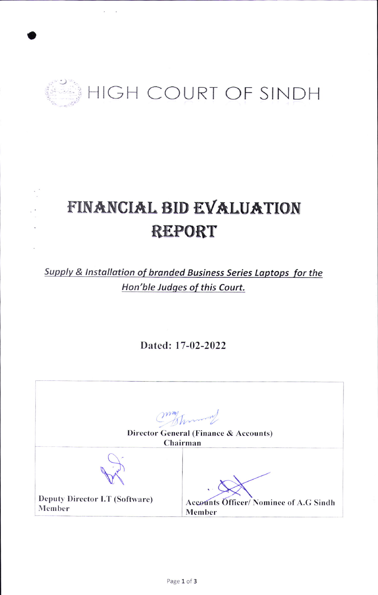

# FINANCIAL BID EVALUATION **REPORT**

Supply & Installation of branded Business Series Laptops for the Hon'ble Judges of this Court.

Dated: 17-02-2022

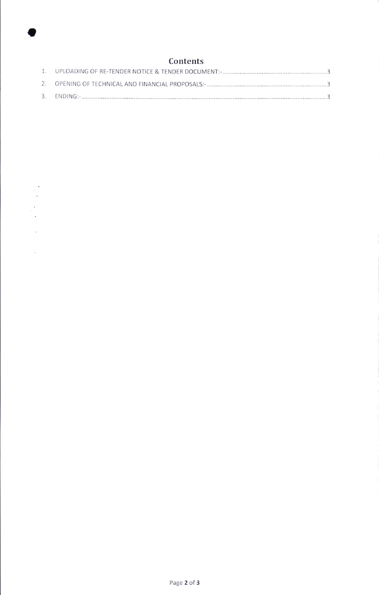## Contents

a

 $\lambda$ i<br>B  $\ddot{\phantom{a}}$ i.

 $\mathcal{L}_{\text{max}}$ 

 $\sim$   $\sim$